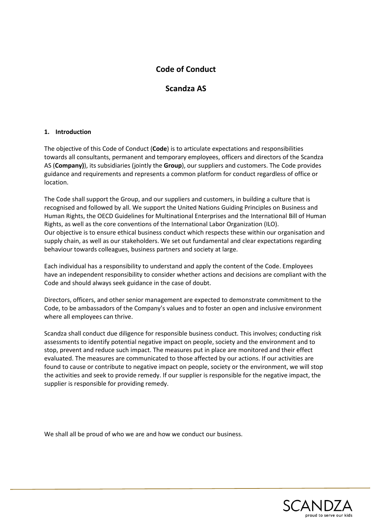# **Code of Conduct**

## **Scandza AS**

## **1. Introduction**

The objective of this Code of Conduct (**Code**) is to articulate expectations and responsibilities towards all consultants, permanent and temporary employees, officers and directors of the Scandza AS (**Company)**), its subsidiaries (jointly the **Group**), our suppliers and customers. The Code provides guidance and requirements and represents a common platform for conduct regardless of office or location.

The Code shall support the Group, and our suppliers and customers, in building a culture that is recognised and followed by all. We support the United Nations Guiding Principles on Business and Human Rights, the OECD Guidelines for Multinational Enterprises and the International Bill of Human Rights, as well as the core conventions of the International Labor Organization (ILO). Our objective is to ensure ethical business conduct which respects these within our organisation and supply chain, as well as our stakeholders. We set out fundamental and clear expectations regarding behaviour towards colleagues, business partners and society at large.

Each individual has a responsibility to understand and apply the content of the Code. Employees have an independent responsibility to consider whether actions and decisions are compliant with the Code and should always seek guidance in the case of doubt.

Directors, officers, and other senior management are expected to demonstrate commitment to the Code, to be ambassadors of the Company's values and to foster an open and inclusive environment where all employees can thrive.

Scandza shall conduct due diligence for responsible business conduct. This involves; conducting risk assessments to identify potential negative impact on people, society and the environment and to stop, prevent and reduce such impact. The measures put in place are monitored and their effect evaluated. The measures are communicated to those affected by our actions. If our activities are found to cause or contribute to negative impact on people, society or the environment, we will stop the activities and seek to provide remedy. If our supplier is responsible for the negative impact, the supplier is responsible for providing remedy.

We shall all be proud of who we are and how we conduct our business.

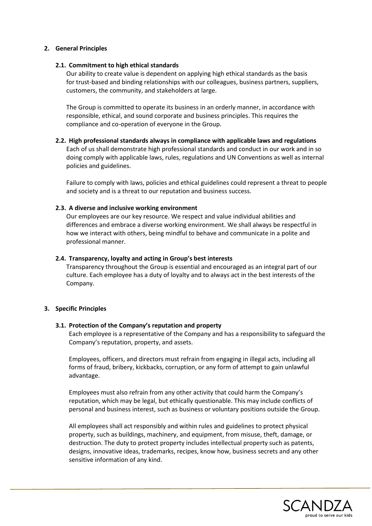## **2. General Principles**

### **2.1. Commitment to high ethical standards**

Our ability to create value is dependent on applying high ethical standards as the basis for trust-based and binding relationships with our colleagues, business partners, suppliers, customers, the community, and stakeholders at large.

The Group is committed to operate its business in an orderly manner, in accordance with responsible, ethical, and sound corporate and business principles. This requires the compliance and co-operation of everyone in the Group.

## **2.2. High professional standards always in compliance with applicable laws and regulations** Each of us shall demonstrate high professional standards and conduct in our work and in so doing comply with applicable laws, rules, regulations and UN Conventions as well as internal policies and guidelines.

Failure to comply with laws, policies and ethical guidelines could represent a threat to people and society and is a threat to our reputation and business success.

## **2.3. A diverse and inclusive working environment**

Our employees are our key resource. We respect and value individual abilities and differences and embrace a diverse working environment. We shall always be respectful in how we interact with others, being mindful to behave and communicate in a polite and professional manner.

## **2.4. Transparency, loyalty and acting in Group's best interests**

Transparency throughout the Group is essential and encouraged as an integral part of our culture. Each employee has a duty of loyalty and to always act in the best interests of the Company.

#### **3. Specific Principles**

#### **3.1. Protection of the Company's reputation and property**

Each employee is a representative of the Company and has a responsibility to safeguard the Company's reputation, property, and assets.

Employees, officers, and directors must refrain from engaging in illegal acts, including all forms of fraud, bribery, kickbacks, corruption, or any form of attempt to gain unlawful advantage.

Employees must also refrain from any other activity that could harm the Company's reputation, which may be legal, but ethically questionable. This may include conflicts of personal and business interest, such as business or voluntary positions outside the Group.

All employees shall act responsibly and within rules and guidelines to protect physical property, such as buildings, machinery, and equipment, from misuse, theft, damage, or destruction. The duty to protect property includes intellectual property such as patents, designs, innovative ideas, trademarks, recipes, know how, business secrets and any other sensitive information of any kind.

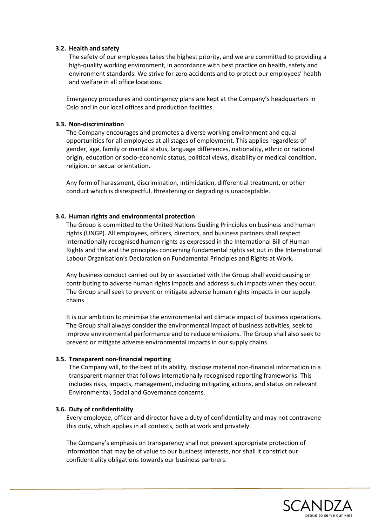## **3.2. Health and safety**

The safety of our employees takes the highest priority, and we are committed to providing a high-quality working environment, in accordance with best practice on health, safety and environment standards. We strive for zero accidents and to protect our employees' health and welfare in all office locations.

Emergency procedures and contingency plans are kept at the Company's headquarters in Oslo and in our local offices and production facilities.

## **3.3. Non-discrimination**

The Company encourages and promotes a diverse working environment and equal opportunities for all employees at all stages of employment. This applies regardless of gender, age, family or marital status, language differences, nationality, ethnic or national origin, education or socio-economic status, political views, disability or medical condition, religion, or sexual orientation.

Any form of harassment, discrimination, intimidation, differential treatment, or other conduct which is disrespectful, threatening or degrading is unacceptable.

## **3.4. Human rights and environmental protection**

The Group is committed to the United Nations Guiding Principles on business and human rights (UNGP). All employees, officers, directors, and business partners shall respect internationally recognised human rights as expressed in the International Bill of Human Rights and the and the principles concerning fundamental rights set out in the International Labour Organisation's Declaration on Fundamental Principles and Rights at Work.

Any business conduct carried out by or associated with the Group shall avoid causing or contributing to adverse human rights impacts and address such impacts when they occur. The Group shall seek to prevent or mitigate adverse human rights impacts in our supply chains.

It is our ambition to minimise the environmental ant climate impact of business operations. The Group shall always consider the environmental impact of business activities, seek to improve environmental performance and to reduce emissions. The Group shall also seek to prevent or mitigate adverse environmental impacts in our supply chains.

#### **3.5. Transparent non-financial reporting**

The Company will, to the best of its ability, disclose material non-financial information in a transparent manner that follows internationally recognised reporting frameworks. This includes risks, impacts, management, including mitigating actions, and status on relevant Environmental, Social and Governance concerns.

#### **3.6. Duty of confidentiality**

Every employee, officer and director have a duty of confidentiality and may not contravene this duty, which applies in all contexts, both at work and privately.

The Company's emphasis on transparency shall not prevent appropriate protection of information that may be of value to our business interests, nor shall it constrict our confidentiality obligations towards our business partners.

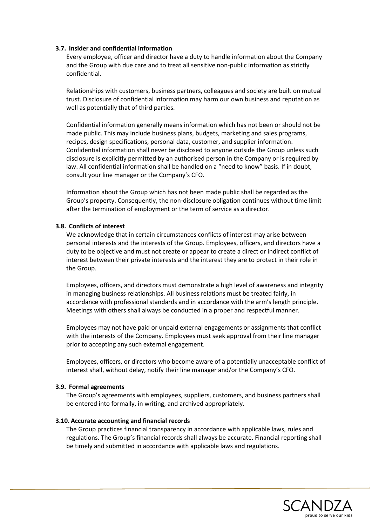## **3.7. Insider and confidential information**

Every employee, officer and director have a duty to handle information about the Company and the Group with due care and to treat all sensitive non-public information as strictly confidential.

Relationships with customers, business partners, colleagues and society are built on mutual trust. Disclosure of confidential information may harm our own business and reputation as well as potentially that of third parties.

Confidential information generally means information which has not been or should not be made public. This may include business plans, budgets, marketing and sales programs, recipes, design specifications, personal data, customer, and supplier information. Confidential information shall never be disclosed to anyone outside the Group unless such disclosure is explicitly permitted by an authorised person in the Company or is required by law. All confidential information shall be handled on a "need to know" basis. If in doubt, consult your line manager or the Company's CFO.

Information about the Group which has not been made public shall be regarded as the Group's property. Consequently, the non-disclosure obligation continues without time limit after the termination of employment or the term of service as a director.

#### **3.8. Conflicts of interest**

We acknowledge that in certain circumstances conflicts of interest may arise between personal interests and the interests of the Group. Employees, officers, and directors have a duty to be objective and must not create or appear to create a direct or indirect conflict of interest between their private interests and the interest they are to protect in their role in the Group.

Employees, officers, and directors must demonstrate a high level of awareness and integrity in managing business relationships. All business relations must be treated fairly, in accordance with professional standards and in accordance with the arm's length principle. Meetings with others shall always be conducted in a proper and respectful manner.

Employees may not have paid or unpaid external engagements or assignments that conflict with the interests of the Company. Employees must seek approval from their line manager prior to accepting any such external engagement.

Employees, officers, or directors who become aware of a potentially unacceptable conflict of interest shall, without delay, notify their line manager and/or the Company's CFO.

#### **3.9. Formal agreements**

The Group's agreements with employees, suppliers, customers, and business partners shall be entered into formally, in writing, and archived appropriately.

#### **3.10. Accurate accounting and financial records**

The Group practices financial transparency in accordance with applicable laws, rules and regulations. The Group's financial records shall always be accurate. Financial reporting shall be timely and submitted in accordance with applicable laws and regulations.

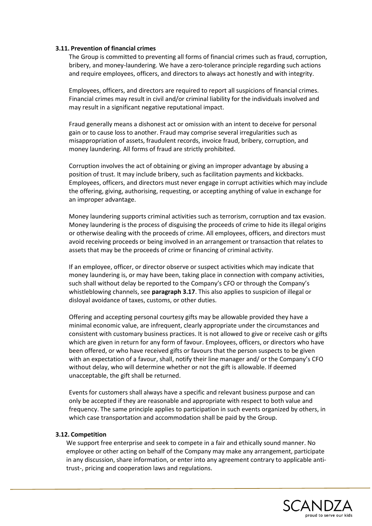#### **3.11. Prevention of financial crimes**

The Group is committed to preventing all forms of financial crimes such as fraud, corruption, bribery, and money-laundering. We have a zero-tolerance principle regarding such actions and require employees, officers, and directors to always act honestly and with integrity.

Employees, officers, and directors are required to report all suspicions of financial crimes. Financial crimes may result in civil and/or criminal liability for the individuals involved and may result in a significant negative reputational impact.

Fraud generally means a dishonest act or omission with an intent to deceive for personal gain or to cause loss to another. Fraud may comprise several irregularities such as misappropriation of assets, fraudulent records, invoice fraud, bribery, corruption, and money laundering. All forms of fraud are strictly prohibited.

Corruption involves the act of obtaining or giving an improper advantage by abusing a position of trust. It may include bribery, such as facilitation payments and kickbacks. Employees, officers, and directors must never engage in corrupt activities which may include the offering, giving, authorising, requesting, or accepting anything of value in exchange for an improper advantage.

Money laundering supports criminal activities such as terrorism, corruption and tax evasion. Money laundering is the process of disguising the proceeds of crime to hide its illegal origins or otherwise dealing with the proceeds of crime. All employees, officers, and directors must avoid receiving proceeds or being involved in an arrangement or transaction that relates to assets that may be the proceeds of crime or financing of criminal activity.

If an employee, officer, or director observe or suspect activities which may indicate that money laundering is, or may have been, taking place in connection with company activities, such shall without delay be reported to the Company's CFO or through the Company's whistleblowing channels, see **paragraph 3.17**. This also applies to suspicion of illegal or disloyal avoidance of taxes, customs, or other duties.

Offering and accepting personal courtesy gifts may be allowable provided they have a minimal economic value, are infrequent, clearly appropriate under the circumstances and consistent with customary business practices. It is not allowed to give or receive cash or gifts which are given in return for any form of favour. Employees, officers, or directors who have been offered, or who have received gifts or favours that the person suspects to be given with an expectation of a favour, shall, notify their line manager and/ or the Company's CFO without delay, who will determine whether or not the gift is allowable. If deemed unacceptable, the gift shall be returned.

Events for customers shall always have a specific and relevant business purpose and can only be accepted if they are reasonable and appropriate with respect to both value and frequency. The same principle applies to participation in such events organized by others, in which case transportation and accommodation shall be paid by the Group.

#### **3.12. Competition**

We support free enterprise and seek to compete in a fair and ethically sound manner. No employee or other acting on behalf of the Company may make any arrangement, participate in any discussion, share information, or enter into any agreement contrary to applicable antitrust-, pricing and cooperation laws and regulations.

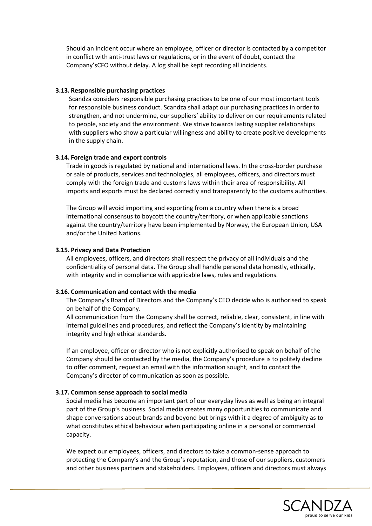Should an incident occur where an employee, officer or director is contacted by a competitor in conflict with anti-trust laws or regulations, or in the event of doubt, contact the Company'sCFO without delay. A log shall be kept recording all incidents.

#### **3.13. Responsible purchasing practices**

Scandza considers responsible purchasing practices to be one of our most important tools for responsible business conduct. Scandza shall adapt our purchasing practices in order to strengthen, and not undermine, our suppliers' ability to deliver on our requirements related to people, society and the environment. We strive towards lasting supplier relationships with suppliers who show a particular willingness and ability to create positive developments in the supply chain.

#### **3.14. Foreign trade and export controls**

Trade in goods is regulated by national and international laws. In the cross-border purchase or sale of products, services and technologies, all employees, officers, and directors must comply with the foreign trade and customs laws within their area of responsibility. All imports and exports must be declared correctly and transparently to the customs authorities.

The Group will avoid importing and exporting from a country when there is a broad international consensus to boycott the country/territory, or when applicable sanctions against the country/territory have been implemented by Norway, the European Union, USA and/or the United Nations.

#### **3.15. Privacy and Data Protection**

All employees, officers, and directors shall respect the privacy of all individuals and the confidentiality of personal data. The Group shall handle personal data honestly, ethically, with integrity and in compliance with applicable laws, rules and regulations.

#### **3.16. Communication and contact with the media**

The Company's Board of Directors and the Company's CEO decide who is authorised to speak on behalf of the Company.

All communication from the Company shall be correct, reliable, clear, consistent, in line with internal guidelines and procedures, and reflect the Company's identity by maintaining integrity and high ethical standards.

If an employee, officer or director who is not explicitly authorised to speak on behalf of the Company should be contacted by the media, the Company's procedure is to politely decline to offer comment, request an email with the information sought, and to contact the Company's director of communication as soon as possible.

#### **3.17. Common sense approach to social media**

Social media has become an important part of our everyday lives as well as being an integral part of the Group's business. Social media creates many opportunities to communicate and shape conversations about brands and beyond but brings with it a degree of ambiguity as to what constitutes ethical behaviour when participating online in a personal or commercial capacity.

We expect our employees, officers, and directors to take a common-sense approach to protecting the Company's and the Group's reputation, and those of our suppliers, customers and other business partners and stakeholders. Employees, officers and directors must always